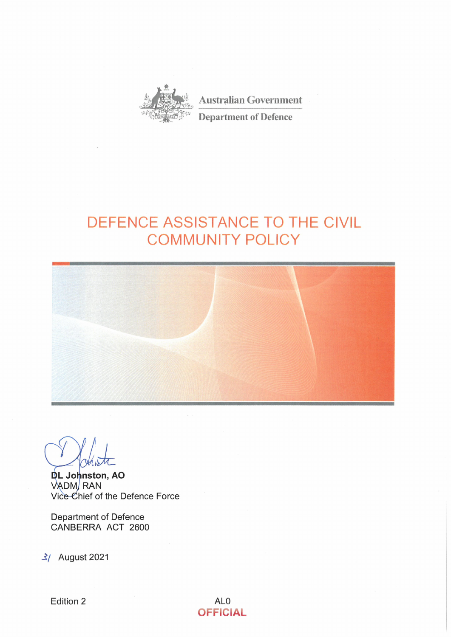

**Australian Government Department of Defence** 

# DEFENCE ASSISTANCE TO THE CIVIL **COMMUNITY POLICY**



**DL Johnston, AO**<br>VADM, RAN Vice Chief of the Defence Force

**Department of Defence** CANBERRA ACT 2600

3/ August 2021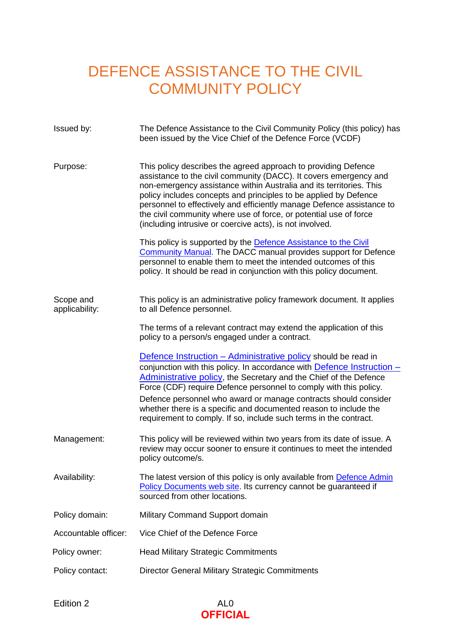# DEFENCE ASSISTANCE TO THE CIVIL COMMUNITY POLICY

| Issued by:                  | The Defence Assistance to the Civil Community Policy (this policy) has<br>been issued by the Vice Chief of the Defence Force (VCDF)                                                                                                                                                                                                                                                                                                                                                                                |
|-----------------------------|--------------------------------------------------------------------------------------------------------------------------------------------------------------------------------------------------------------------------------------------------------------------------------------------------------------------------------------------------------------------------------------------------------------------------------------------------------------------------------------------------------------------|
| Purpose:                    | This policy describes the agreed approach to providing Defence<br>assistance to the civil community (DACC). It covers emergency and<br>non-emergency assistance within Australia and its territories. This<br>policy includes concepts and principles to be applied by Defence<br>personnel to effectively and efficiently manage Defence assistance to<br>the civil community where use of force, or potential use of force<br>(including intrusive or coercive acts), is not involved.                           |
|                             | This policy is supported by the <b>Defence Assistance to the Civil</b><br><b>Community Manual.</b> The DACC manual provides support for Defence<br>personnel to enable them to meet the intended outcomes of this<br>policy. It should be read in conjunction with this policy document.                                                                                                                                                                                                                           |
| Scope and<br>applicability: | This policy is an administrative policy framework document. It applies<br>to all Defence personnel.                                                                                                                                                                                                                                                                                                                                                                                                                |
|                             | The terms of a relevant contract may extend the application of this<br>policy to a person/s engaged under a contract.                                                                                                                                                                                                                                                                                                                                                                                              |
|                             | <b>Defence Instruction – Administrative policy should be read in</b><br>conjunction with this policy. In accordance with <b>Defence Instruction</b> –<br><b>Administrative policy, the Secretary and the Chief of the Defence</b><br>Force (CDF) require Defence personnel to comply with this policy.<br>Defence personnel who award or manage contracts should consider<br>whether there is a specific and documented reason to include the<br>requirement to comply. If so, include such terms in the contract. |
| Management:                 | This policy will be reviewed within two years from its date of issue. A<br>review may occur sooner to ensure it continues to meet the intended<br>policy outcome/s.                                                                                                                                                                                                                                                                                                                                                |
| Availability:               | The latest version of this policy is only available from Defence Admin<br>Policy Documents web site. Its currency cannot be guaranteed if<br>sourced from other locations.                                                                                                                                                                                                                                                                                                                                         |
| Policy domain:              | Military Command Support domain                                                                                                                                                                                                                                                                                                                                                                                                                                                                                    |
| Accountable officer:        | Vice Chief of the Defence Force                                                                                                                                                                                                                                                                                                                                                                                                                                                                                    |
| Policy owner:               | <b>Head Military Strategic Commitments</b>                                                                                                                                                                                                                                                                                                                                                                                                                                                                         |
| Policy contact:             | Director General Military Strategic Commitments                                                                                                                                                                                                                                                                                                                                                                                                                                                                    |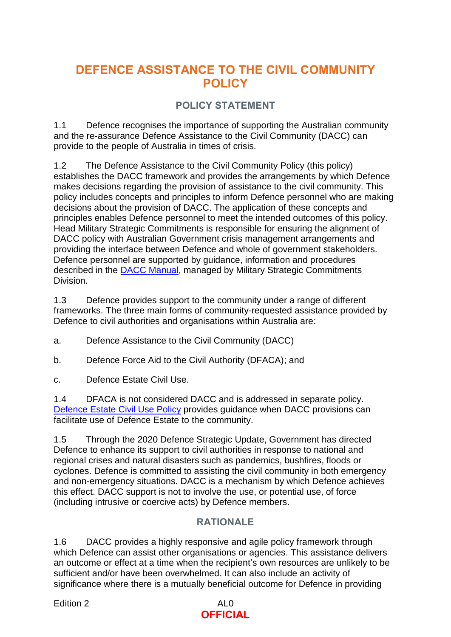# **DEFENCE ASSISTANCE TO THE CIVIL COMMUNITY POLICY**

# **POLICY STATEMENT**

1.1 Defence recognises the importance of supporting the Australian community and the re-assurance Defence Assistance to the Civil Community (DACC) can provide to the people of Australia in times of crisis.

1.2 The Defence Assistance to the Civil Community Policy (this policy) establishes the DACC framework and provides the arrangements by which Defence makes decisions regarding the provision of assistance to the civil community. This policy includes concepts and principles to inform Defence personnel who are making decisions about the provision of DACC. The application of these concepts and principles enables Defence personnel to meet the intended outcomes of this policy. Head Military Strategic Commitments is responsible for ensuring the alignment of DACC policy with Australian Government crisis management arrangements and providing the interface between Defence and whole of government stakeholders. Defence personnel are supported by guidance, information and procedures described in the [DACC Manual,](https://objective/id:BN20376121) managed by Military Strategic Commitments Division.

1.3 Defence provides support to the community under a range of different frameworks. The three main forms of community-requested assistance provided by Defence to civil authorities and organisations within Australia are:

a. Defence Assistance to the Civil Community (DACC)

b. Defence Force Aid to the Civil Authority (DFACA); and

c. Defence Estate Civil Use.

1.4 DFACA is not considered DACC and is addressed in separate policy. [Defence Estate Civil Use Policy](http://intranet.defence.gov.au/home/documents/data/publications/policy-documents/Defence-Estate-Civil-Use-Policy.pdf) provides guidance when DACC provisions can facilitate use of Defence Estate to the community.

1.5 Through the 2020 Defence Strategic Update, Government has directed Defence to enhance its support to civil authorities in response to national and regional crises and natural disasters such as pandemics, bushfires, floods or cyclones. Defence is committed to assisting the civil community in both emergency and non-emergency situations. DACC is a mechanism by which Defence achieves this effect. DACC support is not to involve the use, or potential use, of force (including intrusive or coercive acts) by Defence members.

# **RATIONALE**

1.6 DACC provides a highly responsive and agile policy framework through which Defence can assist other organisations or agencies. This assistance delivers an outcome or effect at a time when the recipient's own resources are unlikely to be sufficient and/or have been overwhelmed. It can also include an activity of significance where there is a mutually beneficial outcome for Defence in providing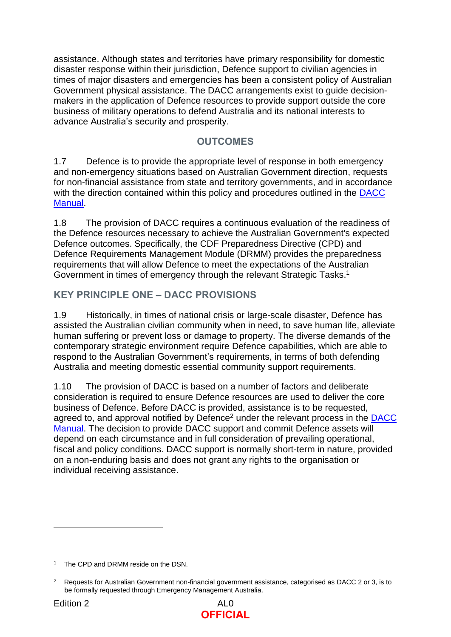assistance. Although states and territories have primary responsibility for domestic disaster response within their jurisdiction, Defence support to civilian agencies in times of major disasters and emergencies has been a consistent policy of Australian Government physical assistance. The DACC arrangements exist to guide decisionmakers in the application of Defence resources to provide support outside the core business of military operations to defend Australia and its national interests to advance Australia's security and prosperity.

# **OUTCOMES**

1.7 Defence is to provide the appropriate level of response in both emergency and non-emergency situations based on Australian Government direction, requests for non-financial assistance from state and territory governments, and in accordance with the direction contained within this policy and procedures outlined in the DACC [Manual.](https://objective/id:BN20376121)

1.8 The provision of DACC requires a continuous evaluation of the readiness of the Defence resources necessary to achieve the Australian Government's expected Defence outcomes. Specifically, the CDF Preparedness Directive (CPD) and Defence Requirements Management Module (DRMM) provides the preparedness requirements that will allow Defence to meet the expectations of the Australian Government in times of emergency through the relevant Strategic Tasks.<sup>1</sup>

# **KEY PRINCIPLE ONE – DACC PROVISIONS**

1.9 Historically, in times of national crisis or large-scale disaster, Defence has assisted the Australian civilian community when in need, to save human life, alleviate human suffering or prevent loss or damage to property. The diverse demands of the contemporary strategic environment require Defence capabilities, which are able to respond to the Australian Government's requirements, in terms of both defending Australia and meeting domestic essential community support requirements.

1.10 The provision of DACC is based on a number of factors and deliberate consideration is required to ensure Defence resources are used to deliver the core business of Defence. Before DACC is provided, assistance is to be requested, agreed to, and approval notified by Defence<sup>2</sup> under the relevant process in the DACC [Manual.](https://objective/id:BN20376121) The decision to provide DACC support and commit Defence assets will depend on each circumstance and in full consideration of prevailing operational, fiscal and policy conditions. DACC support is normally short-term in nature, provided on a non-enduring basis and does not grant any rights to the organisation or individual receiving assistance.



<sup>&</sup>lt;sup>1</sup> The CPD and DRMM reside on the DSN.

<sup>2</sup> Requests for Australian Government non-financial government assistance, categorised as DACC 2 or 3, is to be formally requested through Emergency Management Australia.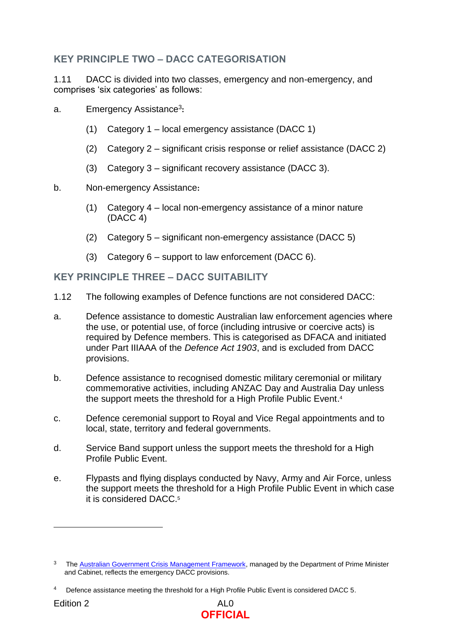# **KEY PRINCIPLE TWO – DACC CATEGORISATION**

1.11 DACC is divided into two classes, emergency and non-emergency, and comprises 'six categories' as follows:

- a. Emergency Assistance<sup>3</sup> **:**
	- (1) Category 1 local emergency assistance (DACC 1)
	- (2) Category 2 significant crisis response or relief assistance (DACC 2)
	- (3) Category 3 significant recovery assistance (DACC 3).
- b. Non-emergency Assistance**:** 
	- (1) Category 4 local non-emergency assistance of a minor nature (DACC 4)
	- (2) Category 5 significant non-emergency assistance (DACC 5)
	- (3) Category  $6$  support to law enforcement (DACC  $6$ ).

#### **KEY PRINCIPLE THREE – DACC SUITABILITY**

- 1.12 The following examples of Defence functions are not considered DACC:
- a. Defence assistance to domestic Australian law enforcement agencies where the use, or potential use, of force (including intrusive or coercive acts) is required by Defence members. This is categorised as DFACA and initiated under Part IIIAAA of the *Defence Act 1903*, and is excluded from DACC provisions.
- b. Defence assistance to recognised domestic military ceremonial or military commemorative activities, including ANZAC Day and Australia Day unless the support meets the threshold for a High Profile Public Event. 4
- c. Defence ceremonial support to Royal and Vice Regal appointments and to local, state, territory and federal governments.
- d. Service Band support unless the support meets the threshold for a High Profile Public Event.
- e. Flypasts and flying displays conducted by Navy, Army and Air Force, unless the support meets the threshold for a High Profile Public Event in which case it is considered DACC.<sup>5</sup>



<sup>3</sup> The [Australian Government Crisis Management Framework,](https://pmc.gov.au/resource-centre/national-security/australian-government-crisis-management-framework) managed by the Department of Prime Minister and Cabinet, reflects the emergency DACC provisions.

<sup>4</sup> Defence assistance meeting the threshold for a High Profile Public Event is considered DACC 5.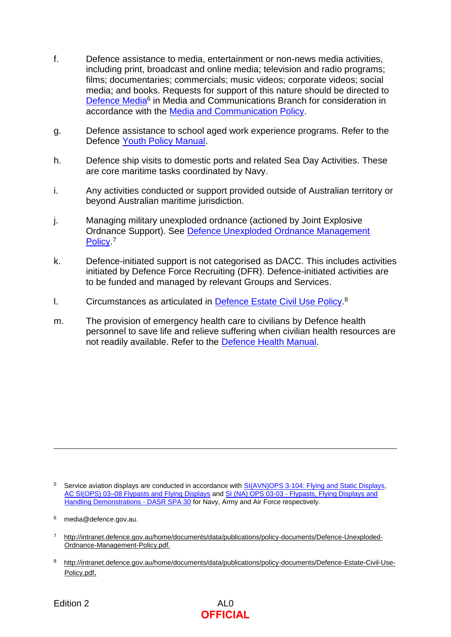- f. Defence assistance to media, entertainment or non-news media activities, including print, broadcast and online media; television and radio programs; films; documentaries; commercials; music videos; corporate videos; social media; and books. Requests for support of this nature should be directed to [Defence Media](mailto:media@defence.gov.au)<sup>6</sup> in Media and Communications Branch for consideration in accordance with the [Media and Communication Policy.](http://intranet.defence.gov.au/home/documents/data/DEFPUBS/DEPTMAN/MC/Media_and_Communication_policy.pdf)
- g. Defence assistance to school aged work experience programs. Refer to the Defence [Youth Policy Manual.](https://www.defenceyouth.gov.au/youth-safety/youth-policy-manual-youthpolman/)
- h. Defence ship visits to domestic ports and related Sea Day Activities. These are core maritime tasks coordinated by Navy.
- i. Any activities conducted or support provided outside of Australian territory or beyond Australian maritime jurisdiction.
- j. Managing military unexploded ordnance (actioned by Joint Explosive Ordnance Support). See [Defence Unexploded Ordnance Management](http://intranet.defence.gov.au/home/documents/data/publications/policy-documents/Defence-Unexploded-Ordnance-Management-Policy.pdf)  [Policy.](http://intranet.defence.gov.au/home/documents/data/publications/policy-documents/Defence-Unexploded-Ordnance-Management-Policy.pdf)<sup>7</sup>
- k. Defence-initiated support is not categorised as DACC. This includes activities initiated by Defence Force Recruiting (DFR). Defence-initiated activities are to be funded and managed by relevant Groups and Services.
- I. Circumstances as articulated in [Defence Estate Civil Use Policy.](http://intranet.defence.gov.au/home/documents/data/publications/policy-documents/Defence-Estate-Civil-Use-Policy.pdf)<sup>8</sup>
- m. The provision of emergency health care to civilians by Defence health personnel to save life and relieve suffering when civilian health resources are not readily available. Refer to the [Defence Health Manual.](http://intranet.defence.gov.au/home/documents/home/publications/manuals/defence-health-manual.htm)

- 7 http://intranet.defence.gov.au/home/documents/data/publications/policy-documents/Defence-Unexploded-Ordnance-Management-Policy.pdf.
- 8 [http://intranet.defence.gov.au/home/documents/data/publications/policy-documents/Defence-Estate-Civil-Use-](http://intranet.defence.gov.au/home/documents/data/publications/policy-documents/Defence-Estate-Civil-Use-Policy.pdf)[Policy.pdf](http://intranet.defence.gov.au/home/documents/data/publications/policy-documents/Defence-Estate-Civil-Use-Policy.pdf).

<sup>&</sup>lt;sup>5</sup> Service aviation displays are conducted in accordance with [SI\(AVN\)OPS 3-104: Flying and Static Displays,](http://drnet/Army/FORCOMD/AVN/AvnAwDir/SiteAssets/Pages/OPAW/SI(AVN)OPS%20ED%205%20AL%208%20%2019NOV20%20Print%20Pack.pdf) AC [SI\(OPS\) 03–08 Flypasts and Flying Displays](https://objective/id:AC1688119) and SI (NA) OPS 03-03 - [Flypasts, Flying Displays and](https://objective/id:E7695902/document/versions/published)  [Handling Demonstrations -](https://objective/id:E7695902/document/versions/published) DASR SPA 30 for Navy, Army and Air Force respectively.

<sup>&</sup>lt;sup>6</sup> media@defence.gov.au.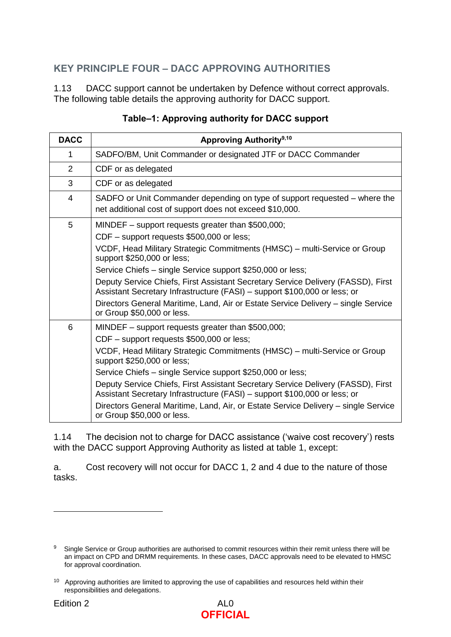# **KEY PRINCIPLE FOUR – DACC APPROVING AUTHORITIES**

1.13 DACC support cannot be undertaken by Defence without correct approvals. The following table details the approving authority for DACC support.

| <b>DACC</b>    | <b>Approving Authority</b> 9,10                                                                                                                               |
|----------------|---------------------------------------------------------------------------------------------------------------------------------------------------------------|
| 1              | SADFO/BM, Unit Commander or designated JTF or DACC Commander                                                                                                  |
| 2              | CDF or as delegated                                                                                                                                           |
| 3              | CDF or as delegated                                                                                                                                           |
| $\overline{4}$ | SADFO or Unit Commander depending on type of support requested - where the<br>net additional cost of support does not exceed \$10,000.                        |
| 5              | MINDEF $-$ support requests greater than \$500,000;                                                                                                           |
|                | CDF - support requests \$500,000 or less;                                                                                                                     |
|                | VCDF, Head Military Strategic Commitments (HMSC) – multi-Service or Group<br>support \$250,000 or less;                                                       |
|                | Service Chiefs – single Service support \$250,000 or less;                                                                                                    |
|                | Deputy Service Chiefs, First Assistant Secretary Service Delivery (FASSD), First<br>Assistant Secretary Infrastructure (FASI) – support \$100,000 or less; or |
|                | Directors General Maritime, Land, Air or Estate Service Delivery - single Service<br>or Group \$50,000 or less.                                               |
| 6              | MINDEF - support requests greater than \$500,000;                                                                                                             |
|                | CDF – support requests \$500,000 or less;                                                                                                                     |
|                | VCDF, Head Military Strategic Commitments (HMSC) – multi-Service or Group<br>support \$250,000 or less;                                                       |
|                | Service Chiefs – single Service support \$250,000 or less;                                                                                                    |
|                | Deputy Service Chiefs, First Assistant Secretary Service Delivery (FASSD), First<br>Assistant Secretary Infrastructure (FASI) – support \$100,000 or less; or |
|                | Directors General Maritime, Land, Air, or Estate Service Delivery - single Service<br>or Group \$50,000 or less.                                              |

#### **Table–1: Approving authority for DACC support**

1.14 The decision not to charge for DACC assistance ('waive cost recovery') rests with the DACC support Approving Authority as listed at table 1, except:

a. Cost recovery will not occur for DACC 1, 2 and 4 due to the nature of those tasks.

<sup>9</sup> Single Service or Group authorities are authorised to commit resources within their remit unless there will be an impact on CPD and DRMM requirements. In these cases, DACC approvals need to be elevated to HMSC for approval coordination.

<sup>&</sup>lt;sup>10</sup> Approving authorities are limited to approving the use of capabilities and resources held within their responsibilities and delegations.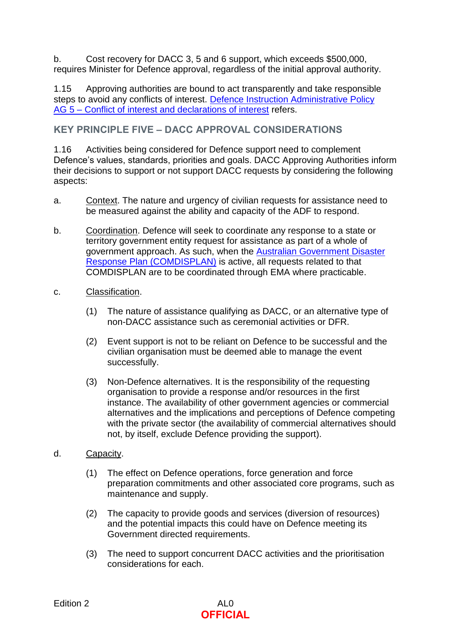b. Cost recovery for DACC 3, 5 and 6 support, which exceeds \$500,000, requires Minister for Defence approval, regardless of the initial approval authority.

1.15 Approving authorities are bound to act transparently and take responsible steps to avoid any conflicts of interest. [Defence Instruction Administrative Policy](http://intranet.defence.gov.au/home/documents/data/publications/instructions/DI-Administrative-Policy.pdf)  AG 5 – [Conflict of interest and declarations of interest](http://intranet.defence.gov.au/home/documents/data/publications/instructions/DI-Administrative-Policy.pdf) refers.

#### **KEY PRINCIPLE FIVE – DACC APPROVAL CONSIDERATIONS**

1.16 Activities being considered for Defence support need to complement Defence's values, standards, priorities and goals. DACC Approving Authorities inform their decisions to support or not support DACC requests by considering the following aspects:

- a. Context. The nature and urgency of civilian requests for assistance need to be measured against the ability and capacity of the ADF to respond.
- b. Coordination. Defence will seek to coordinate any response to a state or territory government entity request for assistance as part of a whole of government approach. As such, when the [Australian Government Disaster](https://www.homeaffairs.gov.au/emergency/files/plan-disaster-response.pdf)  [Response Plan \(COMDISPLAN\)](https://www.homeaffairs.gov.au/emergency/files/plan-disaster-response.pdf) is active, all requests related to that COMDISPLAN are to be coordinated through EMA where practicable.
- c. Classification.
	- (1) The nature of assistance qualifying as DACC, or an alternative type of non-DACC assistance such as ceremonial activities or DFR.
	- (2) Event support is not to be reliant on Defence to be successful and the civilian organisation must be deemed able to manage the event successfully.
	- (3) Non-Defence alternatives. It is the responsibility of the requesting organisation to provide a response and/or resources in the first instance. The availability of other government agencies or commercial alternatives and the implications and perceptions of Defence competing with the private sector (the availability of commercial alternatives should not, by itself, exclude Defence providing the support).
- d. Capacity.
	- (1) The effect on Defence operations, force generation and force preparation commitments and other associated core programs, such as maintenance and supply.
	- (2) The capacity to provide goods and services (diversion of resources) and the potential impacts this could have on Defence meeting its Government directed requirements.
	- (3) The need to support concurrent DACC activities and the prioritisation considerations for each.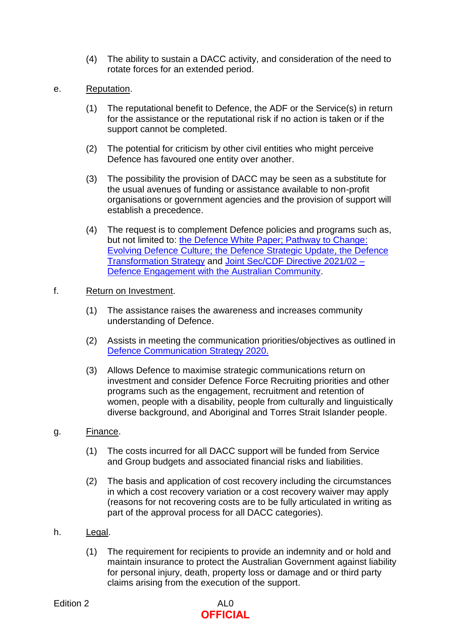- (4) The ability to sustain a DACC activity, and consideration of the need to rotate forces for an extended period.
- e. Reputation.
	- (1) The reputational benefit to Defence, the ADF or the Service(s) in return for the assistance or the reputational risk if no action is taken or if the support cannot be completed.
	- (2) The potential for criticism by other civil entities who might perceive Defence has favoured one entity over another.
	- (3) The possibility the provision of DACC may be seen as a substitute for the usual avenues of funding or assistance available to non-profit organisations or government agencies and the provision of support will establish a precedence.
	- (4) The request is to complement Defence policies and programs such as, but not limited to: [the Defence White Paper; Pathway to Change:](https://www1.defence.gov.au/strategy-policy) [Evolving Defence Culture; the Defence Strategic Update, the Defence](https://www1.defence.gov.au/strategy-policy)  [Transformation Strategy](https://www1.defence.gov.au/strategy-policy) and [Joint Sec/CDF Directive 2021/02 –](https://objective/id:BN28518938) [Defence Engagement with the Australian Community.](https://objective/id:BN28518938)

#### f. Return on Investment.

- (1) The assistance raises the awareness and increases community understanding of Defence.
- (2) Assists in meeting the communication priorities/objectives as outlined in [Defence Communication Strategy](http://drnet.defence.gov.au/AssociateSecretary/Media-Communications-Publishing/Communication-Policy-Resources/Pages/Communications-Policy-and-Resources-Home.aspx) 2020.
- (3) Allows Defence to maximise strategic communications return on investment and consider Defence Force Recruiting priorities and other programs such as the engagement, recruitment and retention of women, people with a disability, people from culturally and linguistically diverse background, and Aboriginal and Torres Strait Islander people.

#### g. Finance.

- (1) The costs incurred for all DACC support will be funded from Service and Group budgets and associated financial risks and liabilities.
- (2) The basis and application of cost recovery including the circumstances in which a cost recovery variation or a cost recovery waiver may apply (reasons for not recovering costs are to be fully articulated in writing as part of the approval process for all DACC categories).

#### h. Legal.

(1) The requirement for recipients to provide an indemnity and or hold and maintain insurance to protect the Australian Government against liability for personal injury, death, property loss or damage and or third party claims arising from the execution of the support.

# **OFFICIAL**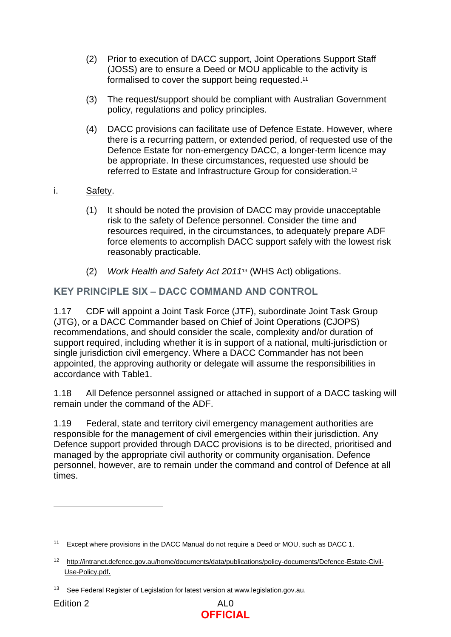- (2) Prior to execution of DACC support, Joint Operations Support Staff (JOSS) are to ensure a Deed or MOU applicable to the activity is formalised to cover the support being requested.<sup>11</sup>
- (3) The request/support should be compliant with Australian Government policy, regulations and policy principles.
- (4) DACC provisions can facilitate use of Defence Estate. However, where there is a recurring pattern, or extended period, of requested use of the Defence Estate for non-emergency DACC, a longer-term licence may be appropriate. In these circumstances, requested use should be referred to Estate and Infrastructure Group for consideration.<sup>12</sup>
- i. Safety.
	- (1) It should be noted the provision of DACC may provide unacceptable risk to the safety of Defence personnel. Consider the time and resources required, in the circumstances, to adequately prepare ADF force elements to accomplish DACC support safely with the lowest risk reasonably practicable.
	- (2) *Work Health and Safety Act 2011*<sup>13</sup> (WHS Act) obligations.

# **KEY PRINCIPLE SIX – DACC COMMAND AND CONTROL**

1.17 CDF will appoint a Joint Task Force (JTF), subordinate Joint Task Group (JTG), or a DACC Commander based on Chief of Joint Operations (CJOPS) recommendations, and should consider the scale, complexity and/or duration of support required, including whether it is in support of a national, multi-jurisdiction or single jurisdiction civil emergency. Where a DACC Commander has not been appointed, the approving authority or delegate will assume the responsibilities in accordance with Table1.

1.18 All Defence personnel assigned or attached in support of a DACC tasking will remain under the command of the ADF.

1.19 Federal, state and territory civil emergency management authorities are responsible for the management of civil emergencies within their jurisdiction. Any Defence support provided through DACC provisions is to be directed, prioritised and managed by the appropriate civil authority or community organisation. Defence personnel, however, are to remain under the command and control of Defence at all times.



<sup>&</sup>lt;sup>11</sup> Except where provisions in the DACC Manual do not require a Deed or MOU, such as DACC 1.

<sup>12</sup> [http://intranet.defence.gov.au/home/documents/data/publications/policy-documents/Defence-Estate-Civil-](http://intranet.defence.gov.au/home/documents/data/publications/policy-documents/Defence-Estate-Civil-Use-Policy.pdf)[Use-Policy.pdf](http://intranet.defence.gov.au/home/documents/data/publications/policy-documents/Defence-Estate-Civil-Use-Policy.pdf).

<sup>&</sup>lt;sup>13</sup> See Federal Register of Legislation for latest version at www.legislation.gov.au.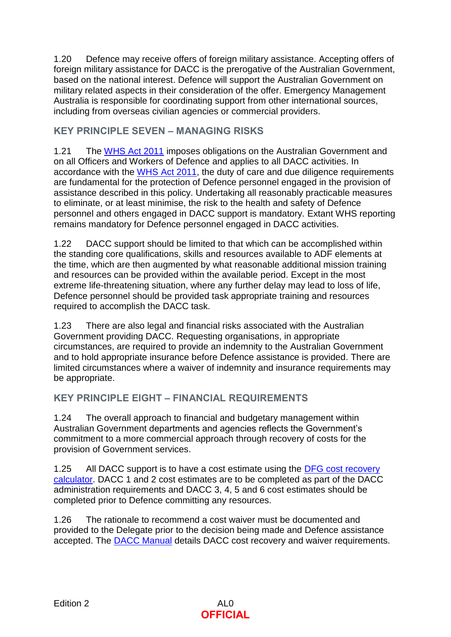1.20 Defence may receive offers of foreign military assistance. Accepting offers of foreign military assistance for DACC is the prerogative of the Australian Government, based on the national interest. Defence will support the Australian Government on military related aspects in their consideration of the offer. Emergency Management Australia is responsible for coordinating support from other international sources, including from overseas civilian agencies or commercial providers.

# **KEY PRINCIPLE SEVEN – MANAGING RISKS**

1.21 The [WHS](https://www.legislation.gov.au/Series/C2011A00137) Act 2011 imposes obligations on the Australian Government and on all Officers and Workers of Defence and applies to all DACC activities. In accordance with the [WHS](https://www.legislation.gov.au/Series/C2011A00137) Act 2011, the duty of care and due diligence requirements are fundamental for the protection of Defence personnel engaged in the provision of assistance described in this policy. Undertaking all reasonably practicable measures to eliminate, or at least minimise, the risk to the health and safety of Defence personnel and others engaged in DACC support is mandatory. Extant WHS reporting remains mandatory for Defence personnel engaged in DACC activities.

1.22 DACC support should be limited to that which can be accomplished within the standing core qualifications, skills and resources available to ADF elements at the time, which are then augmented by what reasonable additional mission training and resources can be provided within the available period. Except in the most extreme life-threatening situation, where any further delay may lead to loss of life, Defence personnel should be provided task appropriate training and resources required to accomplish the DACC task.

1.23 There are also legal and financial risks associated with the Australian Government providing DACC. Requesting organisations, in appropriate circumstances, are required to provide an indemnity to the Australian Government and to hold appropriate insurance before Defence assistance is provided. There are limited circumstances where a waiver of indemnity and insurance requirements may be appropriate.

# **KEY PRINCIPLE EIGHT – FINANCIAL REQUIREMENTS**

1.24 The overall approach to financial and budgetary management within Australian Government departments and agencies reflects the Government's commitment to a more commercial approach through recovery of costs for the provision of Government services.

1.25 All DACC support is to have a cost estimate using the [DFG cost recovery](https://objcdc7/id:BO8654974/document/versions/latest)  [calculator.](https://objcdc7/id:BO8654974/document/versions/latest) DACC 1 and 2 cost estimates are to be completed as part of the DACC administration requirements and DACC 3, 4, 5 and 6 cost estimates should be completed prior to Defence committing any resources.

1.26 The rationale to recommend a cost waiver must be documented and provided to the Delegate prior to the decision being made and Defence assistance accepted. The [DACC Manual](https://objective/id:BN20376121) details DACC cost recovery and waiver requirements.